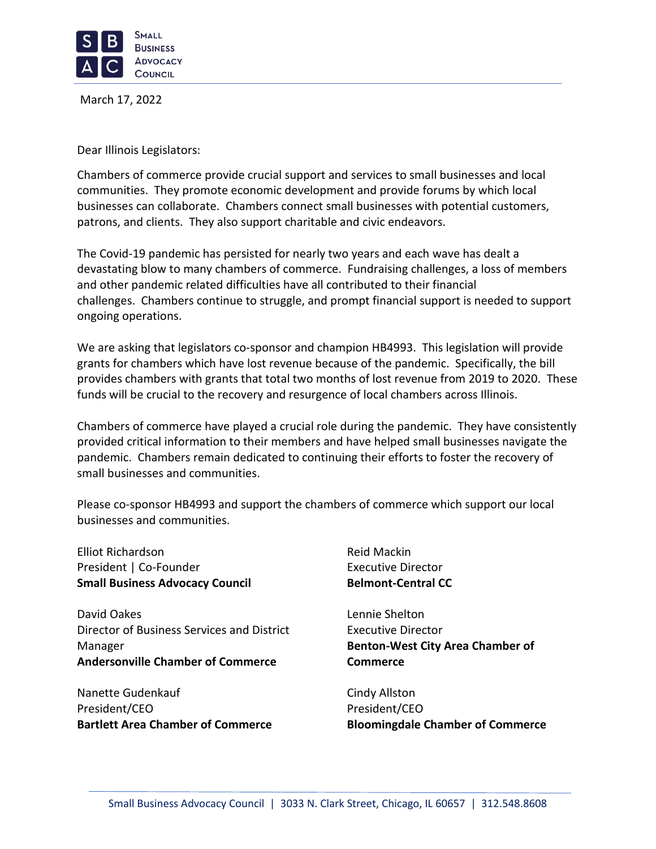

March 17, 2022

Dear Illinois Legislators:

Chambers of commerce provide crucial support and services to small businesses and local communities. They promote economic development and provide forums by which local businesses can collaborate. Chambers connect small businesses with potential customers, patrons, and clients. They also support charitable and civic endeavors.

The Covid-19 pandemic has persisted for nearly two years and each wave has dealt a devastating blow to many chambers of commerce. Fundraising challenges, a loss of members and other pandemic related difficulties have all contributed to their financial challenges. Chambers continue to struggle, and prompt financial support is needed to support ongoing operations.

We are asking that legislators co-sponsor and champion HB4993. This legislation will provide grants for chambers which have lost revenue because of the pandemic. Specifically, the bill provides chambers with grants that total two months of lost revenue from 2019 to 2020. These funds will be crucial to the recovery and resurgence of local chambers across Illinois.

Chambers of commerce have played a crucial role during the pandemic. They have consistently provided critical information to their members and have helped small businesses navigate the pandemic. Chambers remain dedicated to continuing their efforts to foster the recovery of small businesses and communities.

Please co-sponsor HB4993 and support the chambers of commerce which support our local businesses and communities.

Elliot Richardson President | Co-Founder **Small Business Advocacy Council**

David Oakes Director of Business Services and District Manager **Andersonville Chamber of Commerce**

Nanette Gudenkauf President/CEO **Bartlett Area Chamber of Commerce** Reid Mackin Executive Director **Belmont-Central CC**

Lennie Shelton Executive Director **Benton-West City Area Chamber of Commerce**

Cindy Allston President/CEO **Bloomingdale Chamber of Commerce**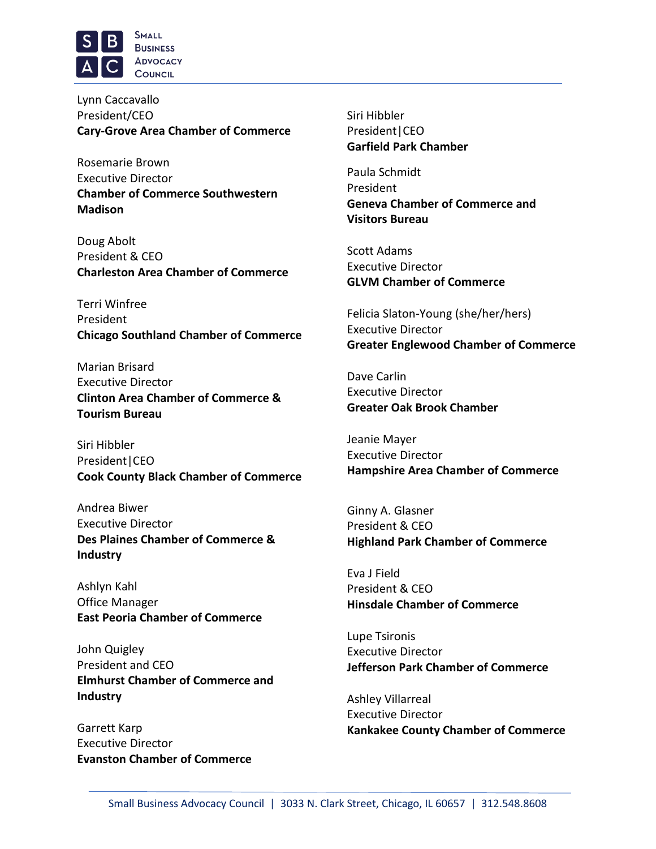

Lynn Caccavallo President/CEO **Cary-Grove Area Chamber of Commerce**

Rosemarie Brown Executive Director **Chamber of Commerce Southwestern Madison**

Doug Abolt President & CEO **Charleston Area Chamber of Commerce**

Terri Winfree President **Chicago Southland Chamber of Commerce**

Marian Brisard Executive Director **Clinton Area Chamber of Commerce & Tourism Bureau**

Siri Hibbler President|CEO **Cook County Black Chamber of Commerce**

Andrea Biwer Executive Director **Des Plaines Chamber of Commerce & Industry**

Ashlyn Kahl Office Manager **East Peoria Chamber of Commerce**

John Quigley President and CEO **Elmhurst Chamber of Commerce and Industry**

Garrett Karp Executive Director **Evanston Chamber of Commerce** Siri Hibbler President|CEO **Garfield Park Chamber**

Paula Schmidt President **Geneva Chamber of Commerce and Visitors Bureau**

Scott Adams Executive Director **GLVM Chamber of Commerce**

Felicia Slaton-Young (she/her/hers) Executive Director **Greater Englewood Chamber of Commerce**

Dave Carlin Executive Director **Greater Oak Brook Chamber**

Jeanie Mayer Executive Director **Hampshire Area Chamber of Commerce**

Ginny A. Glasner President & CEO **Highland Park Chamber of Commerce**

Eva J Field President & CEO **Hinsdale Chamber of Commerce**

Lupe Tsironis Executive Director **Jefferson Park Chamber of Commerce**

Ashley Villarreal Executive Director **Kankakee County Chamber of Commerce**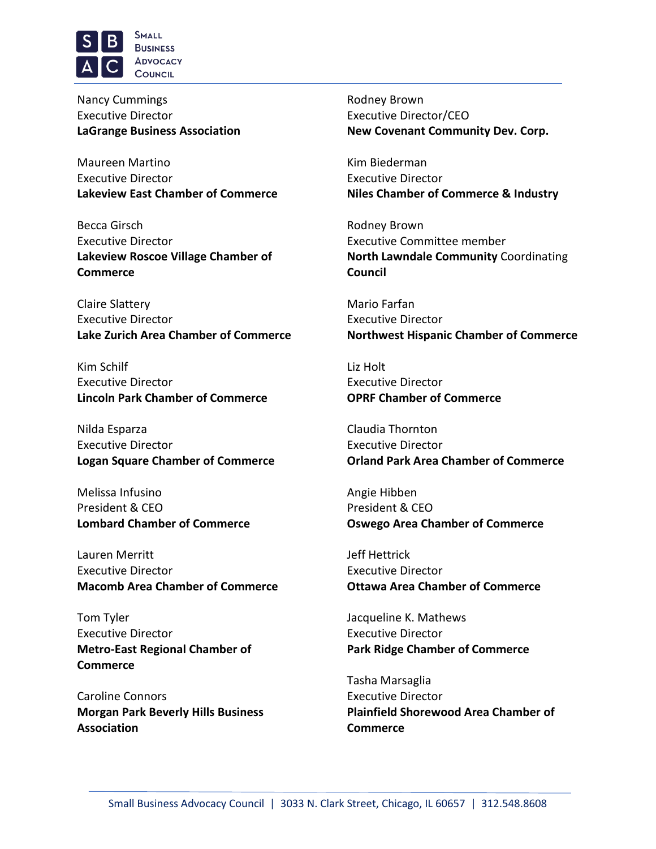

Nancy Cummings Executive Director **[LaGrange](http://lgba.com/) Business Association**

Maureen Martino Executive Director **Lakeview East Chamber of Commerce**

Becca Girsch Executive Director **Lakeview Roscoe Village Chamber of Commerce**

Claire Slattery Executive Director **Lake Zurich Area Chamber of Commerce**

Kim Schilf Executive Director **Lincoln Park Chamber of Commerce**

Nilda Esparza Executive Director **Logan Square Chamber of Commerce**

Melissa Infusino President & CEO **Lombard Chamber of Commerce**

Lauren Merritt Executive Director **Macomb Area Chamber of Commerce**

Tom Tyler Executive Director **Metro-East Regional Chamber of Commerce**

Caroline Connors **Morgan Park Beverly Hills Business Association**

Rodney Brown Executive Director/CEO **New Covenant Community Dev. Corp.**

Kim Biederman Executive Director **Niles Chamber of Commerce & Industry**

Rodney Brown Executive Committee member **North Lawndale Community** Coordinating **Council**

Mario Farfan Executive Director **Northwest Hispanic Chamber of Commerce**

Liz Holt Executive Director **OPRF Chamber of Commerce**

Claudia Thornton Executive Director **Orland Park Area Chamber of Commerce**

Angie Hibben President & CEO **Oswego Area Chamber of Commerce**

Jeff Hettrick Executive Director **Ottawa Area Chamber of Commerce**

Jacqueline K. Mathews Executive Director **Park Ridge Chamber of Commerce**

Tasha Marsaglia Executive Director **Plainfield Shorewood Area Chamber of Commerce**